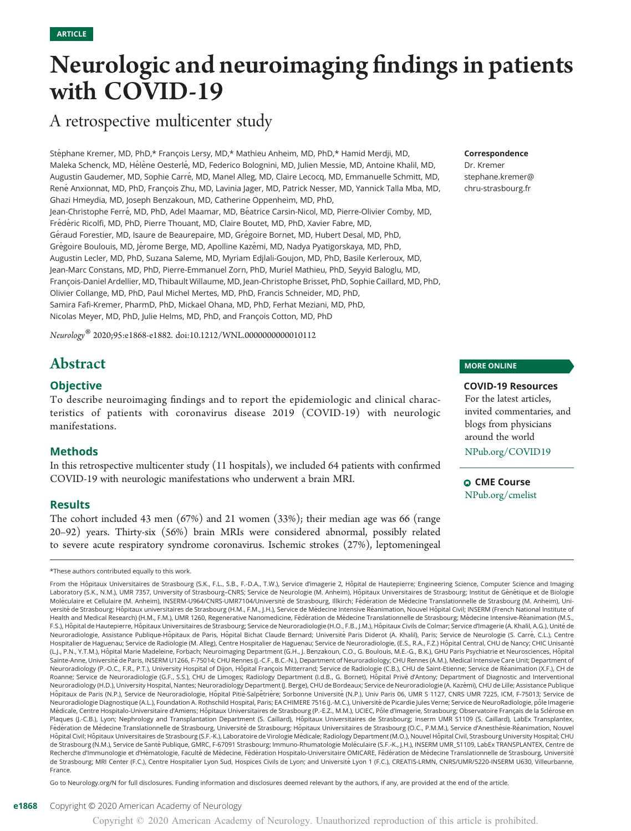## Neurologic and neuroimaging findings in patients with COVID-19

## A retrospective multicenter study

Stéphane Kremer, MD, PhD,\* François Lersy, MD,\* Mathieu Anheim, MD, PhD,\* Hamid Merdji, MD, Maleka Schenck, MD, Hélène Oesterlé, MD, Federico Bolognini, MD, Julien Messie, MD, Antoine Khalil, MD, Augustin Gaudemer, MD, Sophie Carré, MD, Manel Alleg, MD, Claire Lecocq, MD, Emmanuelle Schmitt, MD, Ren´e Anxionnat, MD, PhD, François Zhu, MD, Lavinia Jager, MD, Patrick Nesser, MD, Yannick Talla Mba, MD, Ghazi Hmeydia, MD, Joseph Benzakoun, MD, Catherine Oppenheim, MD, PhD, Jean-Christophe Ferré, MD, PhD, Adel Maamar, MD, Béatrice Carsin-Nicol, MD, Pierre-Olivier Comby, MD, Frédéric Ricolfi, MD, PhD, Pierre Thouant, MD, Claire Boutet, MD, PhD, Xavier Fabre, MD, Géraud Forestier, MD, Isaure de Beaurepaire, MD, Grégoire Bornet, MD, Hubert Desal, MD, PhD, Grégoire Boulouis, MD, Jérome Berge, MD, Apolline Kazémi, MD, Nadya Pyatigorskaya, MD, PhD, Augustin Lecler, MD, PhD, Suzana Saleme, MD, Myriam Edjlali-Goujon, MD, PhD, Basile Kerleroux, MD, Jean-Marc Constans, MD, PhD, Pierre-Emmanuel Zorn, PhD, Muriel Mathieu, PhD, Seyyid Baloglu, MD, François-Daniel Ardellier, MD, Thibault Willaume, MD, Jean-Christophe Brisset, PhD, Sophie Caillard, MD, PhD, Olivier Collange, MD, PhD, Paul Michel Mertes, MD, PhD, Francis Schneider, MD, PhD, Samira Fafi-Kremer, PharmD, PhD, Mickael Ohana, MD, PhD, Ferhat Meziani, MD, PhD, Nicolas Meyer, MD, PhD, Julie Helms, MD, PhD, and François Cotton, MD, PhD

Neurology® 2020;95:e1868-e1882. doi:10.1212/WNL.0000000000010112

## Abstract

#### **Objective**

To describe neuroimaging findings and to report the epidemiologic and clinical characteristics of patients with coronavirus disease 2019 (COVID-19) with neurologic manifestations.

#### Methods

In this retrospective multicenter study (11 hospitals), we included 64 patients with confirmed COVID-19 with neurologic manifestations who underwent a brain MRI.

#### Results

The cohort included 43 men (67%) and 21 women (33%); their median age was 66 (range 20–92) years. Thirty-six (56%) brain MRIs were considered abnormal, possibly related to severe acute respiratory syndrome coronavirus. Ischemic strokes (27%), leptomeningeal

Go to Neurology.org/N for full disclosures. Funding information and disclosures deemed relevant by the authors, if any, are provided at the end of the article.

#### Correspondence

Dr. Kremer stephane.kremer@ chru-strasbourg.fr

#### MORE ONLINE

COVID-19 Resources For the latest articles, invited commentaries, and blogs from physicians around the world NPub.org/COVID19

CME Course NPub.org/cmelist

<sup>\*</sup>These authors contributed equally to this work.

From the Hôpitaux Universitaires de Strasbourg (S.K., F.L., S.B., F.-D.A., T.W.), Service d'imagerie 2, Hôpital de Hautepierre; Engineering Science, Computer Science and Imaging Laboratory (S.K., N.M.), UMR 7357, University of Strasbourg–CNRS; Service de Neurologie (M. Anheim), Hôpitaux Universitaires de Strasbourg; Institut de Génétique et de Biologie Moléculaire et Cellulaire (M. Anheim), INSERM-U964/CNRS-UMR7104/Université de Strasbourg, Illkirch; Fédération de Médecine Translationnelle de Strasbourg (M. Anheim), Université de Strasbourg; Hôpitaux universitaires de Strasbourg (H.M., F.M., J.H.), Service de Médecine Intensive Réanimation, Nouvel Hôpital Civil; INSERM (French National Institute of Health and Medical Research) (H.M., F.M.), UMR 1260, Regenerative Nanomedicine, Fédération de Médecine Translationnelle de Strasbourg; Médecine Intensive-Réanimation (M.S., F.S.), Hôpital de Hautepierre, Hôpitaux Universitaires de Strasbourg; Service de Neuroradiologie (H.O., F.B., J.M.), Hôpitaux Civils de Colmar; Service d'Imagerie (A. Khalil, A.G.), Unité de Neuroradiologie, Assistance Publique-Hôpitaux de Paris, Hôpital Bichat Claude Bernard; Université Paris Diderot (A. Khalil), Paris; Service de Neurologie (S. Carré, C.L.), Centre Hospitalier de Haguenau; Service de Radiologie (M. Alleg), Centre Hospitalier de Haguenau; Service de Neuroradiologie, (E.S., R.A., F.Z.) Hôpital Central, CHU de Nancy; CHIC Unisanté (L.J., P.N., Y.T.M.), Hôpital Marie Madeleine, Forbach; Neuroimaging Department (G.H., J. Benzakoun, C.O., G. Boulouis, M.E.-G., B.K.), GHU Paris Psychiatrie et Neurosciences, Hôpital Sainte-Anne, Université de Paris, INSERM U1266, F-75014; CHU Rennes (J.-C.F., B.C.-N.), Department of Neuroradiology; CHU Rennes (A.M.), Medical Intensive Care Unit; Department of Neuroradiology (P.-O.C., F.R., P.T.), University Hospital of Dijon, Hôpital François Mitterrand; Service de Radiologie (C.B.), CHU de Saint-Etienne; Service de Réanimation (X.F.), CH de Roanne; Service de Neuroradiologie (G.F., S.S.), CHU de Limoges; Radiology Department (I.d.B., G. Bornet), Hôpital Privé d'Antony; Department of Diagnostic and Interventional Neuroradiology (H.D.), University Hospital, Nantes; Neuroradiology Department (J. Berge), CHU de Bordeaux; Service de Neuroradiologie (A. Kazémi), CHU de Lille; Assistance Publique Hôpitaux de Paris (N.P.), Service de Neuroradiologie, Hôpital Pitié-Salpêtrière; Sorbonne Université (N.P.), Univ Paris 06, UMR S 1127, CNRS UMR 7225, ICM, F-75013; Service de Neuroradiologie Diagnostique (A.L.), Foundation A. Rothschild Hospital, Paris; EA CHIMERE 7516 (J.-M.C.), Université de Picardie Jules Verne; Service de NeuroRadiologie, pôle Imagerie Médicale, Centre Hospitalo-Universitaire d'Amiens; Hôpitaux Universitaires de Strasbourg (P.-E.Z., M.M.), UCIEC, Pôle d'Imagerie, Strasbourg; Observatoire Français de la Sclérose en Plaques (J.-C.B.), Lyon; Nephrology and Transplantation Department (S. Caillard), Hôpitaux Universitaires de Strasbourg; Inserm UMR S1109 (S. Caillard), LabEx Transplantex, Fédération de Médecine Translationnelle de Strasbourg, Université de Strasbourg; Hôpitaux Universitaires de Strasbourg (O.C., P.M.M.), Service d'Anesthésie-Réanimation, Nouvel Hôpital Civil; Hôpitaux Universitaires de Strasbourg (S.F.-K.), Laboratoire de Virologie Médicale; Radiology Department (M.O.), Nouvel Hôpital Civil, Strasbourg University Hospital; CHU de Strasbourg (N.M.), Service de Santé Publique, GMRC, F-67091 Strasbourg; Immuno-Rhumatologie Moléculaire (S.F.-K., J.H.), INSERM UMR\_S1109, LabEx TRANSPLANTEX, Centre de Recherche d'Immunologie et d'Hématologie, Faculté de Médecine, Fédération Hospitalo-Universitaire OMICARE, Fédération de Médecine Translationnelle de Strasbourg, Université de Strasbourg; MRI Center (F.C.), Centre Hospitalier Lyon Sud, Hospices Civils de Lyon; and Université Lyon 1 (F.C.), CREATIS-LRMN, CNRS/UMR/5220-INSERM U630, Villeurbanne, France.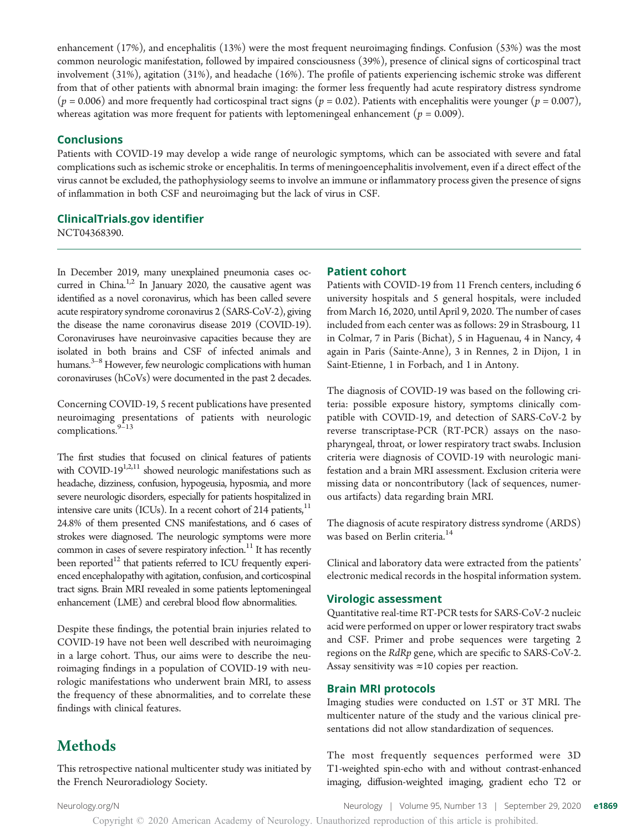enhancement (17%), and encephalitis (13%) were the most frequent neuroimaging findings. Confusion (53%) was the most common neurologic manifestation, followed by impaired consciousness (39%), presence of clinical signs of corticospinal tract involvement (31%), agitation (31%), and headache (16%). The profile of patients experiencing ischemic stroke was different from that of other patients with abnormal brain imaging: the former less frequently had acute respiratory distress syndrome  $(p = 0.006)$  and more frequently had corticospinal tract signs  $(p = 0.02)$ . Patients with encephalitis were younger  $(p = 0.007)$ , whereas agitation was more frequent for patients with leptomeningeal enhancement ( $p = 0.009$ ).

#### Conclusions

Patients with COVID-19 may develop a wide range of neurologic symptoms, which can be associated with severe and fatal complications such as ischemic stroke or encephalitis. In terms of meningoencephalitis involvement, even if a direct effect of the virus cannot be excluded, the pathophysiology seems to involve an immune or inflammatory process given the presence of signs of inflammation in both CSF and neuroimaging but the lack of virus in CSF.

#### ClinicalTrials.gov identifier

NCT04368390.

In December 2019, many unexplained pneumonia cases occurred in China.<sup>1,2</sup> In January 2020, the causative agent was identified as a novel coronavirus, which has been called severe acute respiratory syndrome coronavirus 2 (SARS-CoV-2), giving the disease the name coronavirus disease 2019 (COVID-19). Coronaviruses have neuroinvasive capacities because they are isolated in both brains and CSF of infected animals and humans. $3-8$  However, few neurologic complications with human coronaviruses (hCoVs) were documented in the past 2 decades.

Concerning COVID-19, 5 recent publications have presented neuroimaging presentations of patients with neurologic complications.9–<sup>13</sup>

The first studies that focused on clinical features of patients with COVID-19<sup>1,2,11</sup> showed neurologic manifestations such as headache, dizziness, confusion, hypogeusia, hyposmia, and more severe neurologic disorders, especially for patients hospitalized in intensive care units (ICUs). In a recent cohort of 214 patients, $11$ 24.8% of them presented CNS manifestations, and 6 cases of strokes were diagnosed. The neurologic symptoms were more common in cases of severe respiratory infection.<sup>11</sup> It has recently been reported $12$  that patients referred to ICU frequently experienced encephalopathy with agitation, confusion, and corticospinal tract signs. Brain MRI revealed in some patients leptomeningeal enhancement (LME) and cerebral blood flow abnormalities.

Despite these findings, the potential brain injuries related to COVID-19 have not been well described with neuroimaging in a large cohort. Thus, our aims were to describe the neuroimaging findings in a population of COVID-19 with neurologic manifestations who underwent brain MRI, to assess the frequency of these abnormalities, and to correlate these findings with clinical features.

### Methods

This retrospective national multicenter study was initiated by the French Neuroradiology Society.

#### Patient cohort

Patients with COVID-19 from 11 French centers, including 6 university hospitals and 5 general hospitals, were included from March 16, 2020, until April 9, 2020. The number of cases included from each center was as follows: 29 in Strasbourg, 11 in Colmar, 7 in Paris (Bichat), 5 in Haguenau, 4 in Nancy, 4 again in Paris (Sainte-Anne), 3 in Rennes, 2 in Dijon, 1 in Saint-Etienne, 1 in Forbach, and 1 in Antony.

The diagnosis of COVID-19 was based on the following criteria: possible exposure history, symptoms clinically compatible with COVID-19, and detection of SARS-CoV-2 by reverse transcriptase-PCR (RT-PCR) assays on the nasopharyngeal, throat, or lower respiratory tract swabs. Inclusion criteria were diagnosis of COVID-19 with neurologic manifestation and a brain MRI assessment. Exclusion criteria were missing data or noncontributory (lack of sequences, numerous artifacts) data regarding brain MRI.

The diagnosis of acute respiratory distress syndrome (ARDS) was based on Berlin criteria.<sup>14</sup>

Clinical and laboratory data were extracted from the patients' electronic medical records in the hospital information system.

#### Virologic assessment

Quantitative real-time RT-PCR tests for SARS-CoV-2 nucleic acid were performed on upper or lower respiratory tract swabs and CSF. Primer and probe sequences were targeting 2 regions on the RdRp gene, which are specific to SARS-CoV-2. Assay sensitivity was  $\approx$ 10 copies per reaction.

#### Brain MRI protocols

Imaging studies were conducted on 1.5T or 3T MRI. The multicenter nature of the study and the various clinical presentations did not allow standardization of sequences.

The most frequently sequences performed were 3D T1-weighted spin-echo with and without contrast-enhanced imaging, diffusion-weighted imaging, gradient echo T2 or

Neurology.org/N Neurology | Volume 95, Number 13 | September 29, 2020 **e1869**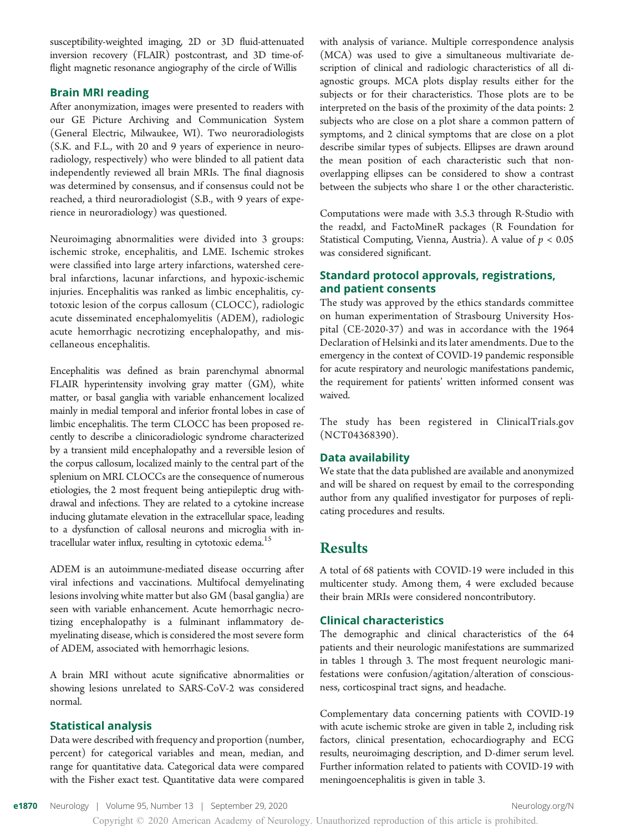susceptibility-weighted imaging, 2D or 3D fluid-attenuated inversion recovery (FLAIR) postcontrast, and 3D time-offlight magnetic resonance angiography of the circle of Willis

#### Brain MRI reading

After anonymization, images were presented to readers with our GE Picture Archiving and Communication System (General Electric, Milwaukee, WI). Two neuroradiologists (S.K. and F.L., with 20 and 9 years of experience in neuroradiology, respectively) who were blinded to all patient data independently reviewed all brain MRIs. The final diagnosis was determined by consensus, and if consensus could not be reached, a third neuroradiologist (S.B., with 9 years of experience in neuroradiology) was questioned.

Neuroimaging abnormalities were divided into 3 groups: ischemic stroke, encephalitis, and LME. Ischemic strokes were classified into large artery infarctions, watershed cerebral infarctions, lacunar infarctions, and hypoxic-ischemic injuries. Encephalitis was ranked as limbic encephalitis, cytotoxic lesion of the corpus callosum (CLOCC), radiologic acute disseminated encephalomyelitis (ADEM), radiologic acute hemorrhagic necrotizing encephalopathy, and miscellaneous encephalitis.

Encephalitis was defined as brain parenchymal abnormal FLAIR hyperintensity involving gray matter (GM), white matter, or basal ganglia with variable enhancement localized mainly in medial temporal and inferior frontal lobes in case of limbic encephalitis. The term CLOCC has been proposed recently to describe a clinicoradiologic syndrome characterized by a transient mild encephalopathy and a reversible lesion of the corpus callosum, localized mainly to the central part of the splenium on MRI. CLOCCs are the consequence of numerous etiologies, the 2 most frequent being antiepileptic drug withdrawal and infections. They are related to a cytokine increase inducing glutamate elevation in the extracellular space, leading to a dysfunction of callosal neurons and microglia with intracellular water influx, resulting in cytotoxic edema.<sup>15</sup>

ADEM is an autoimmune-mediated disease occurring after viral infections and vaccinations. Multifocal demyelinating lesions involving white matter but also GM (basal ganglia) are seen with variable enhancement. Acute hemorrhagic necrotizing encephalopathy is a fulminant inflammatory demyelinating disease, which is considered the most severe form of ADEM, associated with hemorrhagic lesions.

A brain MRI without acute significative abnormalities or showing lesions unrelated to SARS-CoV-2 was considered normal.

#### Statistical analysis

Data were described with frequency and proportion (number, percent) for categorical variables and mean, median, and range for quantitative data. Categorical data were compared with the Fisher exact test. Quantitative data were compared

with analysis of variance. Multiple correspondence analysis (MCA) was used to give a simultaneous multivariate description of clinical and radiologic characteristics of all diagnostic groups. MCA plots display results either for the subjects or for their characteristics. Those plots are to be interpreted on the basis of the proximity of the data points: 2 subjects who are close on a plot share a common pattern of symptoms, and 2 clinical symptoms that are close on a plot describe similar types of subjects. Ellipses are drawn around the mean position of each characteristic such that nonoverlapping ellipses can be considered to show a contrast between the subjects who share 1 or the other characteristic.

Computations were made with 3.5.3 through R-Studio with the readxl, and FactoMineR packages (R Foundation for Statistical Computing, Vienna, Austria). A value of  $p < 0.05$ was considered significant.

#### Standard protocol approvals, registrations, and patient consents

The study was approved by the ethics standards committee on human experimentation of Strasbourg University Hospital (CE-2020-37) and was in accordance with the 1964 Declaration of Helsinki and its later amendments. Due to the emergency in the context of COVID-19 pandemic responsible for acute respiratory and neurologic manifestations pandemic, the requirement for patients' written informed consent was waived.

The study has been registered in ClinicalTrials.gov (NCT04368390).

#### Data availability

We state that the data published are available and anonymized and will be shared on request by email to the corresponding author from any qualified investigator for purposes of replicating procedures and results.

#### Results

A total of 68 patients with COVID-19 were included in this multicenter study. Among them, 4 were excluded because their brain MRIs were considered noncontributory.

#### Clinical characteristics

The demographic and clinical characteristics of the 64 patients and their neurologic manifestations are summarized in tables 1 through 3. The most frequent neurologic manifestations were confusion/agitation/alteration of consciousness, corticospinal tract signs, and headache.

Complementary data concerning patients with COVID-19 with acute ischemic stroke are given in table 2, including risk factors, clinical presentation, echocardiography and ECG results, neuroimaging description, and D-dimer serum level. Further information related to patients with COVID-19 with meningoencephalitis is given in table 3.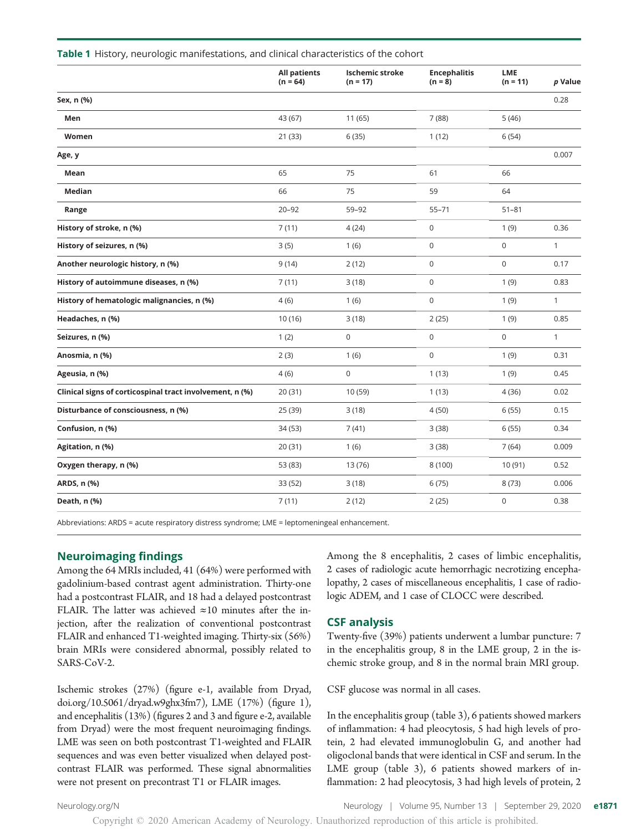|                                                          | <b>All patients</b><br>$(n = 64)$ | <b>Ischemic stroke</b><br>$(n = 17)$ | <b>Encephalitis</b><br>$(n = 8)$ | LME<br>$(n = 11)$   | p Value      |
|----------------------------------------------------------|-----------------------------------|--------------------------------------|----------------------------------|---------------------|--------------|
| Sex, n (%)                                               |                                   |                                      |                                  |                     | 0.28         |
| Men                                                      | 43 (67)                           | 11(65)                               | 7(88)                            | 5(46)               |              |
| Women                                                    | 21(33)                            | 6(35)                                | 1(12)                            | 6(54)               |              |
| Age, y                                                   |                                   |                                      |                                  |                     | 0.007        |
| Mean                                                     | 65                                | 75                                   | 61                               | 66                  |              |
| Median                                                   | 66                                | 75                                   | 59                               | 64                  |              |
| Range                                                    | $20 - 92$                         | $59 - 92$                            | $55 - 71$                        | $51 - 81$           |              |
| History of stroke, n (%)                                 | 7(11)                             | 4(24)                                | $\mathsf 0$                      | 1(9)                | 0.36         |
| History of seizures, n (%)                               | 3(5)                              | 1(6)                                 | $\mathbf 0$                      | $\mathsf{O}\xspace$ | 1            |
| Another neurologic history, n (%)                        | 9(14)                             | 2(12)                                | $\mathbf 0$                      | $\mathbf 0$         | 0.17         |
| History of autoimmune diseases, n (%)                    | 7(11)                             | 3(18)                                | $\mathbf 0$                      | 1(9)                | 0.83         |
| History of hematologic malignancies, n (%)               | 4(6)                              | 1(6)                                 | $\mathsf 0$                      | 1(9)                | 1            |
| Headaches, n (%)                                         | 10(16)                            | 3(18)                                | 2(25)                            | 1(9)                | 0.85         |
| Seizures, n (%)                                          | 1(2)                              | $\mathbf 0$                          | $\mathbf 0$                      | $\mathbf 0$         | $\mathbf{1}$ |
| Anosmia, n (%)                                           | 2(3)                              | 1(6)                                 | $\mathsf 0$                      | 1(9)                | 0.31         |
| Ageusia, n (%)                                           | 4(6)                              | $\mathsf 0$                          | 1(13)                            | 1(9)                | 0.45         |
| Clinical signs of corticospinal tract involvement, n (%) | 20(31)                            | 10 (59)                              | 1(13)                            | 4(36)               | 0.02         |
| Disturbance of consciousness, n (%)                      | 25 (39)                           | 3(18)                                | 4(50)                            | 6(55)               | 0.15         |
| Confusion, n (%)                                         | 34 (53)                           | 7(41)                                | 3(38)                            | 6(55)               | 0.34         |
| Agitation, n (%)                                         | 20(31)                            | 1(6)                                 | 3(38)                            | 7(64)               | 0.009        |
| Oxygen therapy, n (%)                                    | 53 (83)                           | 13 (76)                              | 8 (100)                          | 10 (91)             | 0.52         |
| ARDS, n (%)                                              | 33(52)                            | 3(18)                                | 6(75)                            | 8(73)               | 0.006        |
| Death, n (%)                                             | 7(11)                             | 2(12)                                | 2(25)                            | $\mathsf 0$         | 0.38         |

#### Table 1 History, neurologic manifestations, and clinical characteristics of the cohort

Abbreviations: ARDS = acute respiratory distress syndrome; LME = leptomeningeal enhancement.

#### Neuroimaging findings

Among the 64 MRIs included, 41 (64%) were performed with gadolinium-based contrast agent administration. Thirty-one had a postcontrast FLAIR, and 18 had a delayed postcontrast FLAIR. The latter was achieved  $\approx$ 10 minutes after the injection, after the realization of conventional postcontrast FLAIR and enhanced T1-weighted imaging. Thirty-six (56%) brain MRIs were considered abnormal, possibly related to SARS-CoV-2.

Ischemic strokes (27%) (figure e-1, available from Dryad, doi.org/10.5061/dryad.w9ghx3fm7), LME (17%) (figure 1), and encephalitis (13%) (figures 2 and 3 and figure e-2, available from Dryad) were the most frequent neuroimaging findings. LME was seen on both postcontrast T1-weighted and FLAIR sequences and was even better visualized when delayed postcontrast FLAIR was performed. These signal abnormalities were not present on precontrast T1 or FLAIR images.

Among the 8 encephalitis, 2 cases of limbic encephalitis, 2 cases of radiologic acute hemorrhagic necrotizing encephalopathy, 2 cases of miscellaneous encephalitis, 1 case of radiologic ADEM, and 1 case of CLOCC were described.

#### CSF analysis

Twenty-five (39%) patients underwent a lumbar puncture: 7 in the encephalitis group, 8 in the LME group, 2 in the ischemic stroke group, and 8 in the normal brain MRI group.

CSF glucose was normal in all cases.

In the encephalitis group (table 3), 6 patients showed markers of inflammation: 4 had pleocytosis, 5 had high levels of protein, 2 had elevated immunoglobulin G, and another had oligoclonal bands that were identical in CSF and serum. In the LME group (table 3), 6 patients showed markers of inflammation: 2 had pleocytosis, 3 had high levels of protein, 2

Neurology.org/N Neurology | Volume 95, Number 13 | September 29, 2020 **e1871**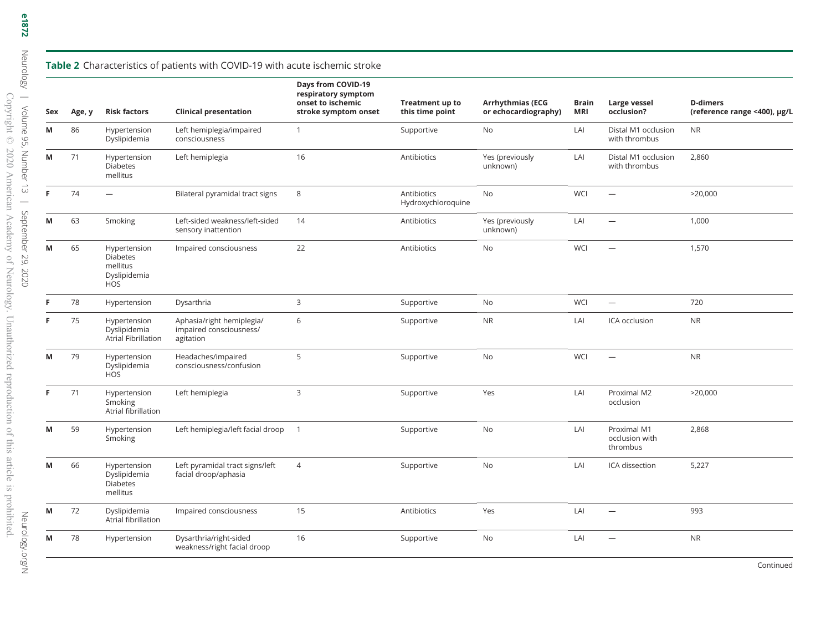#### **Table 2** Characteristics of patients with COVID-19 with acute ischemic stroke

|     |        |                                                                    |                                                                   | Days from COVID-19<br>respiratory symptom<br>onset to ischemic | Treatment up to                   | Arrhythmias (ECG            | <b>Brain</b> | Large vessel                              | <b>D-dimers</b>              |
|-----|--------|--------------------------------------------------------------------|-------------------------------------------------------------------|----------------------------------------------------------------|-----------------------------------|-----------------------------|--------------|-------------------------------------------|------------------------------|
| Sex | Age, y | <b>Risk factors</b>                                                | <b>Clinical presentation</b>                                      | stroke symptom onset                                           | this time point                   | or echocardiography)        | <b>MRI</b>   | occlusion?                                | (reference range <400), µg/L |
| М   | 86     | Hypertension<br>Dyslipidemia                                       | Left hemiplegia/impaired<br>consciousness                         | $\mathbf{1}$                                                   | Supportive                        | No                          | LAI          | Distal M1 occlusion<br>with thrombus      | <b>NR</b>                    |
| М   | 71     | Hypertension<br><b>Diabetes</b><br>mellitus                        | Left hemiplegia                                                   | 16                                                             | Antibiotics                       | Yes (previously<br>unknown) | LAI          | Distal M1 occlusion<br>with thrombus      | 2.860                        |
|     | 74     |                                                                    | Bilateral pyramidal tract signs                                   | 8                                                              | Antibiotics<br>Hydroxychloroquine | No                          | <b>WCI</b>   |                                           | >20,000                      |
| М   | 63     | Smoking                                                            | Left-sided weakness/left-sided<br>sensory inattention             | 14                                                             | Antibiotics                       | Yes (previously<br>unknown) | LAI          |                                           | 1,000                        |
| М   | 65     | Hypertension<br><b>Diabetes</b><br>mellitus<br>Dyslipidemia<br>HOS | Impaired consciousness                                            | 22                                                             | Antibiotics                       | No                          | WCI          |                                           | 1,570                        |
|     | 78     | Hypertension                                                       | Dysarthria                                                        | 3                                                              | Supportive                        | No                          | WCI          | $\overline{\phantom{0}}$                  | 720                          |
|     | 75     | Hypertension<br>Dyslipidemia<br><b>Atrial Fibrillation</b>         | Aphasia/right hemiplegia/<br>impaired consciousness/<br>agitation | $6\,$                                                          | Supportive                        | <b>NR</b>                   | LAI          | ICA occlusion                             | <b>NR</b>                    |
| М   | 79     | Hypertension<br>Dyslipidemia<br>HOS                                | Headaches/impaired<br>consciousness/confusion                     | 5                                                              | Supportive                        | No                          | WCI          | $\overline{\phantom{0}}$                  | <b>NR</b>                    |
|     | 71     | Hypertension<br>Smoking<br>Atrial fibrillation                     | Left hemiplegia                                                   | 3                                                              | Supportive                        | Yes                         | LAI          | Proximal M2<br>occlusion                  | >20,000                      |
| М   | 59     | Hypertension<br>Smoking                                            | Left hemiplegia/left facial droop                                 | $\overline{1}$                                                 | Supportive                        | No                          | LAI          | Proximal M1<br>occlusion with<br>thrombus | 2,868                        |
| M   | 66     | Hypertension<br>Dyslipidemia<br><b>Diabetes</b><br>mellitus        | Left pyramidal tract signs/left<br>facial droop/aphasia           | $\overline{4}$                                                 | Supportive                        | No                          | LAI          | ICA dissection                            | 5,227                        |
| М   | 72     | Dyslipidemia<br>Atrial fibrillation                                | Impaired consciousness                                            | 15                                                             | Antibiotics                       | Yes                         | LAI          | $\overline{\phantom{0}}$                  | 993                          |
| М   | 78     | Hypertension                                                       | Dysarthria/right-sided<br>weakness/right facial droop             | 16                                                             | Supportive                        | No                          | LAI          |                                           | <b>NR</b>                    |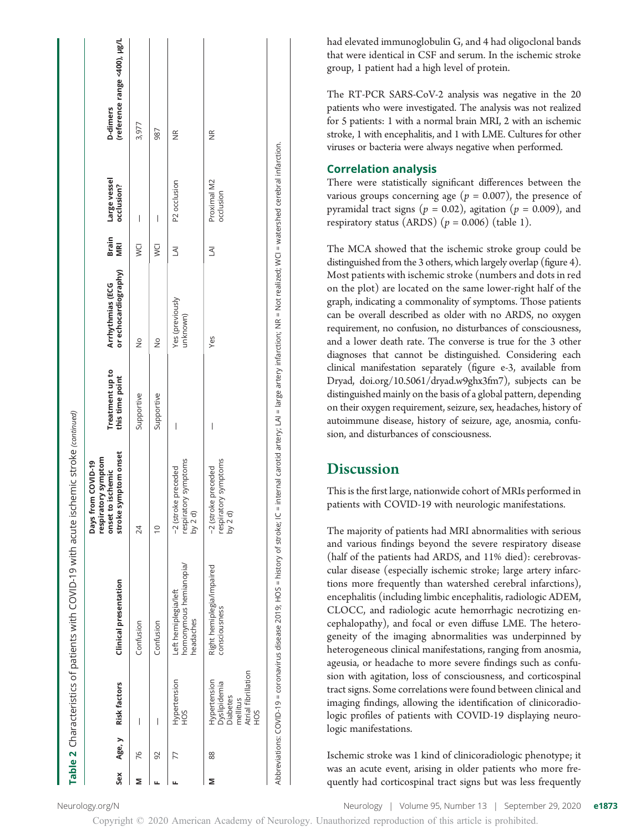| 987<br>$\frac{\alpha}{\alpha}$<br>$\frac{\alpha}{2}$<br>Proximal M2<br>P2 occlusion<br>occlusion<br>I<br>I<br>$\overline{\mathsf{S}}$<br>$\overline{\mathsf{S}}$<br>$\overline{\leq}$<br>3<br>Yes (previously<br>unknown)<br>Yes<br>$\frac{1}{2}$<br>$\frac{1}{2}$<br>Supportive<br>Supportive<br>I<br>I<br>respiratory symptoms<br>by 2 d)<br>respiratory symptoms<br>-2 (stroke preceded<br>-2 (stroke preceded<br>by $2 d$<br>24<br>$\subseteq$<br>homonymous hemianopia/<br>Right hemiplegia/impaired<br>Left hemiplegia/left<br>consciousness<br>headaches<br>Confusion<br>Confusion<br>Atrial fibrillation<br>Hypertension<br>Hypertension<br>Dyslipidemia<br>Diabetes<br>mellitus<br>HOS<br>HOS<br>I<br>I<br>76<br>88<br>92<br>77<br>Σ | Sex | Age, y Risk factors | Clinical presentation | stroke symptom onset<br>respiratory symptom<br>from COVID-19<br>onset to ischemic<br>Days f | Treatment up to<br>this time point | or echocardiography)<br>Arrhythmias (ECG | <b>Brain</b><br>MRI | Large vessel<br>occlusion? | (reference range <400), µg/L<br>D-dimers |
|-----------------------------------------------------------------------------------------------------------------------------------------------------------------------------------------------------------------------------------------------------------------------------------------------------------------------------------------------------------------------------------------------------------------------------------------------------------------------------------------------------------------------------------------------------------------------------------------------------------------------------------------------------------------------------------------------------------------------------------------------|-----|---------------------|-----------------------|---------------------------------------------------------------------------------------------|------------------------------------|------------------------------------------|---------------------|----------------------------|------------------------------------------|
|                                                                                                                                                                                                                                                                                                                                                                                                                                                                                                                                                                                                                                                                                                                                               |     |                     |                       |                                                                                             |                                    |                                          |                     |                            | 3,977                                    |
|                                                                                                                                                                                                                                                                                                                                                                                                                                                                                                                                                                                                                                                                                                                                               |     |                     |                       |                                                                                             |                                    |                                          |                     |                            |                                          |
|                                                                                                                                                                                                                                                                                                                                                                                                                                                                                                                                                                                                                                                                                                                                               |     |                     |                       |                                                                                             |                                    |                                          |                     |                            |                                          |
|                                                                                                                                                                                                                                                                                                                                                                                                                                                                                                                                                                                                                                                                                                                                               |     |                     |                       |                                                                                             |                                    |                                          |                     |                            |                                          |

had elevated immunoglobulin G, and 4 had oligoclonal bands that were identical in CSF and serum. In the ischemic stroke group, 1 patient had a high level of protein.

The RT-PCR SARS-CoV-2 analysis was negative in the 20 patients who were investigated. The analysis was not realized for 5 patients: 1 with a normal brain MRI, 2 with an ischemic stroke, 1 with encephalitis, and 1 with LME. Cultures for other viruses or bacteria were always negative when performed.

#### Correlation analysis

There were statistically significant differences between the various groups concerning age ( $p = 0.007$ ), the presence of pyramidal tract signs ( $p = 0.02$ ), agitation ( $p = 0.009$ ), and respiratory status (ARDS) ( $p = 0.006$ ) (table 1).

The MCA showed that the ischemic stroke group could be distinguished from the 3 others, which largely overlap (figure 4). Most patients with ischemic stroke (numbers and dots in red on the plot) are located on the same lower-right half of the graph, indicating a commonality of symptoms. Those patients can be overall described as older with no ARDS, no oxygen requirement, no confusion, no disturbances of consciousness, and a lower death rate. The converse is true for the 3 other diagnoses that cannot be distinguished. Considering each clinical manifestation separately (figure e-3, available from Dryad, doi.org/10.5061/dryad.w9ghx3fm7), subjects can be distinguished mainly on the basis of a global pattern, depending on their oxygen requirement, seizure, sex, headaches, history of autoimmune disease, history of seizure, age, anosmia, confusion, and disturbances of consciousness.

#### **Discussion**

This is the first large, nationwide cohort of MRIs performed in patients with COVID-19 with neurologic manifestations.

The majority of patients had MRI abnormalities with serious and various findings beyond the severe respiratory disease (half of the patients had ARDS, and 11% died): cerebrovascular disease (especially ischemic stroke; large artery infarctions more frequently than watershed cerebral infarctions), encephalitis (including limbic encephalitis, radiologic ADEM, CLOCC, and radiologic acute hemorrhagic necrotizing encephalopathy), and focal or even diffuse LME. The heterogeneity of the imaging abnormalities was underpinned by heterogeneous clinical manifestations, ranging from anosmia, ageusia, or headache to more severe findings such as confusion with agitation, loss of consciousness, and corticospinal tract signs. Some correlations were found between clinical and imaging findings, allowing the identification of clinicoradiologic profiles of patients with COVID-19 displaying neurologic manifestations.

Ischemic stroke was 1 kind of clinicoradiologic phenotype; it was an acute event, arising in older patients who more frequently had corticospinal tract signs but was less frequently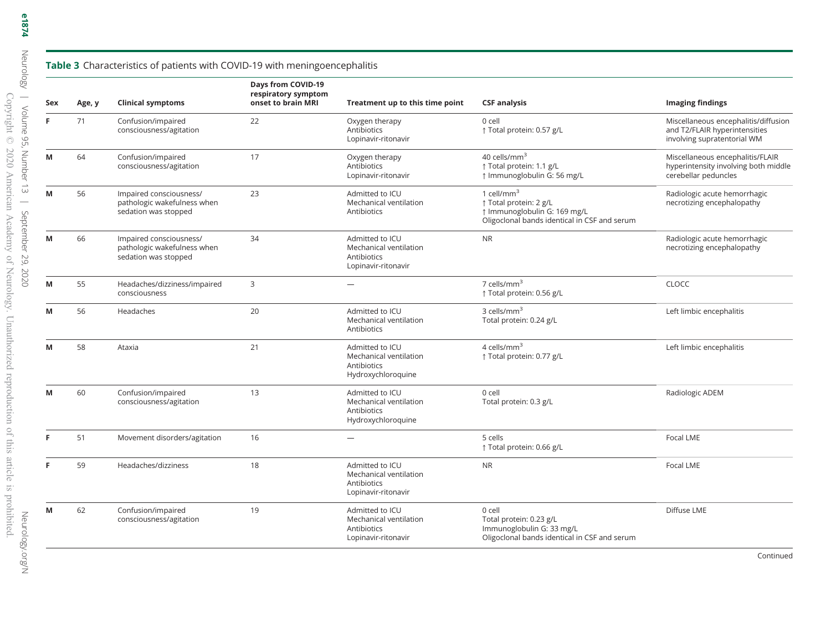#### **Table 3** Characteristics of patients with COVID-19 with meningoencephalitis

| Sex | Age, y | <b>Clinical symptoms</b>                                                       | Days from COVID-19<br>respiratory symptom<br>onset to brain MRI | Treatment up to this time point                                                 | <b>CSF analysis</b>                                                                                                     | <b>Imaging findings</b>                                                                              |
|-----|--------|--------------------------------------------------------------------------------|-----------------------------------------------------------------|---------------------------------------------------------------------------------|-------------------------------------------------------------------------------------------------------------------------|------------------------------------------------------------------------------------------------------|
| F   | 71     | Confusion/impaired<br>consciousness/agitation                                  | 22                                                              | Oxygen therapy<br>Antibiotics<br>Lopinavir-ritonavir                            | 0 cell<br>↑ Total protein: 0.57 g/L                                                                                     | Miscellaneous encephalitis/diffusion<br>and T2/FLAIR hyperintensities<br>involving supratentorial WM |
| M   | 64     | Confusion/impaired<br>consciousness/agitation                                  | 17                                                              | Oxygen therapy<br>Antibiotics<br>Lopinavir-ritonavir                            | 40 cells/mm <sup>3</sup><br>↑ Total protein: 1.1 g/L<br>↑ Immunoglobulin G: 56 mg/L                                     | Miscellaneous encephalitis/FLAIR<br>hyperintensity involving both middle<br>cerebellar peduncles     |
| М   | 56     | Impaired consciousness/<br>pathologic wakefulness when<br>sedation was stopped | 23                                                              | Admitted to ICU<br>Mechanical ventilation<br>Antibiotics                        | 1 cell/ $mm3$<br>↑ Total protein: 2 g/L<br>1 Immunoglobulin G: 169 mg/L<br>Oligoclonal bands identical in CSF and serum | Radiologic acute hemorrhagic<br>necrotizing encephalopathy                                           |
| М   | 66     | Impaired consciousness/<br>pathologic wakefulness when<br>sedation was stopped | 34                                                              | Admitted to ICU<br>Mechanical ventilation<br>Antibiotics<br>Lopinavir-ritonavir | <b>NR</b>                                                                                                               | Radiologic acute hemorrhagic<br>necrotizing encephalopathy                                           |
| M   | 55     | Headaches/dizziness/impaired<br>consciousness                                  | 3                                                               | -                                                                               | 7 cells/mm <sup>3</sup><br>↑ Total protein: 0.56 g/L                                                                    | <b>CLOCC</b>                                                                                         |
| M   | 56     | Headaches                                                                      | 20                                                              | Admitted to ICU<br>Mechanical ventilation<br>Antibiotics                        | $3$ cells/mm <sup>3</sup><br>Total protein: 0.24 g/L                                                                    | Left limbic encephalitis                                                                             |
| M   | 58     | Ataxia                                                                         | 21                                                              | Admitted to ICU<br>Mechanical ventilation<br>Antibiotics<br>Hydroxychloroquine  | 4 cells/ $mm3$<br>↑ Total protein: 0.77 g/L                                                                             | Left limbic encephalitis                                                                             |
| М   | 60     | Confusion/impaired<br>consciousness/agitation                                  | 13                                                              | Admitted to ICU<br>Mechanical ventilation<br>Antibiotics<br>Hydroxychloroquine  | 0 cell<br>Total protein: 0.3 g/L                                                                                        | Radiologic ADEM                                                                                      |
| F   | 51     | Movement disorders/agitation                                                   | 16                                                              |                                                                                 | 5 cells<br>↑ Total protein: 0.66 g/L                                                                                    | Focal LME                                                                                            |
|     | 59     | Headaches/dizziness                                                            | 18                                                              | Admitted to ICU<br>Mechanical ventilation<br>Antibiotics<br>Lopinavir-ritonavir | <b>NR</b>                                                                                                               | Focal LME                                                                                            |
| М   | 62     | Confusion/impaired<br>consciousness/agitation                                  | 19                                                              | Admitted to ICU<br>Mechanical ventilation<br>Antibiotics<br>Lopinavir-ritonavir | $0$ cell<br>Total protein: 0.23 g/L<br>Immunoglobulin G: 33 mg/L<br>Oligoclonal bands identical in CSF and serum        | Diffuse LME                                                                                          |

Continued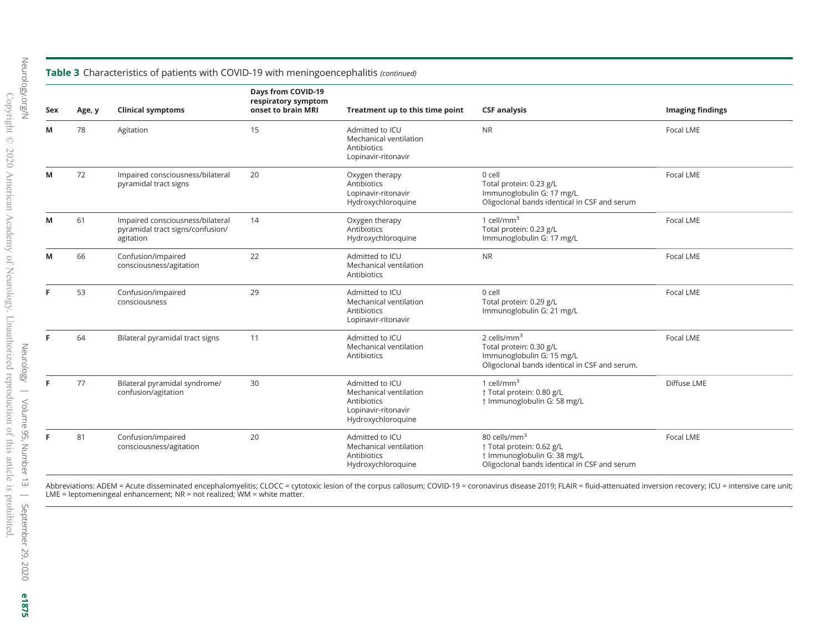| Sex | Age, y | <b>Clinical symptoms</b>                                                          | Days from COVID-19<br>respiratory symptom<br>onset to brain MRI | Treatment up to this time point                                                                       | <b>CSF analysis</b>                                                                                                                  | <b>Imaging findings</b> |
|-----|--------|-----------------------------------------------------------------------------------|-----------------------------------------------------------------|-------------------------------------------------------------------------------------------------------|--------------------------------------------------------------------------------------------------------------------------------------|-------------------------|
| М   | 78     | Agitation                                                                         | 15                                                              | Admitted to ICU<br>Mechanical ventilation<br>Antibiotics<br>Lopinavir-ritonavir                       | <b>NR</b>                                                                                                                            | Focal LME               |
| M   | 72     | Impaired consciousness/bilateral<br>pyramidal tract signs                         | 20                                                              | Oxygen therapy<br>Antibiotics<br>Lopinavir-ritonavir<br>Hydroxychloroquine                            | 0 cell<br>Total protein: 0.23 g/L<br>Immunoglobulin G: 17 mg/L<br>Oligoclonal bands identical in CSF and serum                       | Focal LME               |
| М   | 61     | Impaired consciousness/bilateral<br>pyramidal tract signs/confusion/<br>agitation | 14                                                              | Oxygen therapy<br>Antibiotics<br>Hydroxychloroquine                                                   | 1 cell/ $mm3$<br>Total protein: 0.23 g/L<br>Immunoglobulin G: 17 mg/L                                                                | Focal LME               |
| М   | 66     | Confusion/impaired<br>consciousness/agitation                                     | 22                                                              | Admitted to ICU<br>Mechanical ventilation<br>Antibiotics                                              | <b>NR</b>                                                                                                                            | Focal LME               |
|     | 53     | Confusion/impaired<br>consciousness                                               | 29                                                              | Admitted to ICU<br>Mechanical ventilation<br>Antibiotics<br>Lopinavir-ritonavir                       | 0 cell<br>Total protein: 0.29 g/L<br>Immunoglobulin G: 21 mg/L                                                                       | Focal LME               |
|     | 64     | Bilateral pyramidal tract signs                                                   | 11                                                              | Admitted to ICU<br>Mechanical ventilation<br>Antibiotics                                              | 2 cells/mm <sup>3</sup><br>Total protein: 0.30 g/L<br>Immunoglobulin G: 15 mg/L<br>Oligoclonal bands identical in CSF and serum.     | Focal LME               |
|     | 77     | Bilateral pyramidal syndrome/<br>confusion/agitation                              | 30                                                              | Admitted to ICU<br>Mechanical ventilation<br>Antibiotics<br>Lopinavir-ritonavir<br>Hydroxychloroquine | 1 cell/ $mm3$<br>↑ Total protein: 0.80 g/L<br>↑ Immunoglobulin G: 58 mg/L                                                            | Diffuse LME             |
|     | 81     | Confusion/impaired<br>consciousness/agitation                                     | 20                                                              | Admitted to ICU<br>Mechanical ventilation<br>Antibiotics<br>Hydroxychloroquine                        | 80 cells/mm <sup>3</sup><br>↑ Total protein: 0.62 g/L<br>↑ Immunoglobulin G: 38 mg/L<br>Oligoclonal bands identical in CSF and serum | Focal LME               |

Abbreviations: ADEM = Acute disseminated encephalomyelitis; CLOCC = cytotoxic lesion of the corpus callosum; COVID-19 = coronavirus disease 2019; FLAIR = fluid-attenuated inversion recovery; ICU = intensive care unit; LME <sup>=</sup> leptomeningeal enhancement; NR <sup>=</sup> not realized; WM <sup>=</sup> white matter.

Neurology.org/N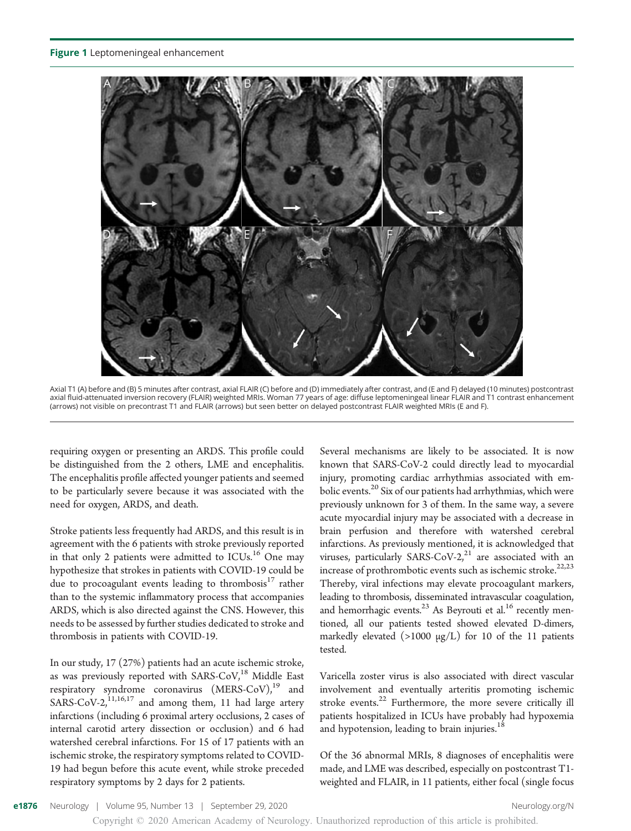#### Figure 1 Leptomeningeal enhancement



Axial T1 (A) before and (B) 5 minutes after contrast, axial FLAIR (C) before and (D) immediately after contrast, and (E and F) delayed (10 minutes) postcontrast axial fluid-attenuated inversion recovery (FLAIR) weighted MRIs. Woman 77 years of age: diffuse leptomeningeal linear FLAIR and T1 contrast enhancement (arrows) not visible on precontrast T1 and FLAIR (arrows) but seen better on delayed postcontrast FLAIR weighted MRIs (E and F).

requiring oxygen or presenting an ARDS. This profile could be distinguished from the 2 others, LME and encephalitis. The encephalitis profile affected younger patients and seemed to be particularly severe because it was associated with the need for oxygen, ARDS, and death.

Stroke patients less frequently had ARDS, and this result is in agreement with the 6 patients with stroke previously reported in that only 2 patients were admitted to  $ICUs.<sup>16</sup>$  One may hypothesize that strokes in patients with COVID-19 could be due to procoagulant events leading to thrombosis $17$  rather than to the systemic inflammatory process that accompanies ARDS, which is also directed against the CNS. However, this needs to be assessed by further studies dedicated to stroke and thrombosis in patients with COVID-19.

In our study, 17 (27%) patients had an acute ischemic stroke, as was previously reported with SARS-CoV,<sup>18</sup> Middle East respiratory syndrome coronavirus (MERS-CoV),<sup>19</sup> and SARS-CoV-2,<sup>11,16,17</sup> and among them, 11 had large artery infarctions (including 6 proximal artery occlusions, 2 cases of internal carotid artery dissection or occlusion) and 6 had watershed cerebral infarctions. For 15 of 17 patients with an ischemic stroke, the respiratory symptoms related to COVID-19 had begun before this acute event, while stroke preceded respiratory symptoms by 2 days for 2 patients.

Several mechanisms are likely to be associated. It is now known that SARS-CoV-2 could directly lead to myocardial injury, promoting cardiac arrhythmias associated with embolic events.<sup>20</sup> Six of our patients had arrhythmias, which were previously unknown for 3 of them. In the same way, a severe acute myocardial injury may be associated with a decrease in brain perfusion and therefore with watershed cerebral infarctions. As previously mentioned, it is acknowledged that viruses, particularly SARS-CoV-2,<sup>21</sup> are associated with an increase of prothrombotic events such as ischemic stroke.<sup>22,23</sup> Thereby, viral infections may elevate procoagulant markers, leading to thrombosis, disseminated intravascular coagulation, and hemorrhagic events.<sup>23</sup> As Beyrouti et al.<sup>16</sup> recently mentioned, all our patients tested showed elevated D-dimers, markedly elevated (>1000 μg/L) for 10 of the 11 patients tested.

Varicella zoster virus is also associated with direct vascular involvement and eventually arteritis promoting ischemic stroke events. $22$  Furthermore, the more severe critically ill patients hospitalized in ICUs have probably had hypoxemia and hypotension, leading to brain injuries.<sup>18</sup>

Of the 36 abnormal MRIs, 8 diagnoses of encephalitis were made, and LME was described, especially on postcontrast T1 weighted and FLAIR, in 11 patients, either focal (single focus

e1876 Neurology | Volume 95, Number 13 | September 29, 2020 Neurology.org/N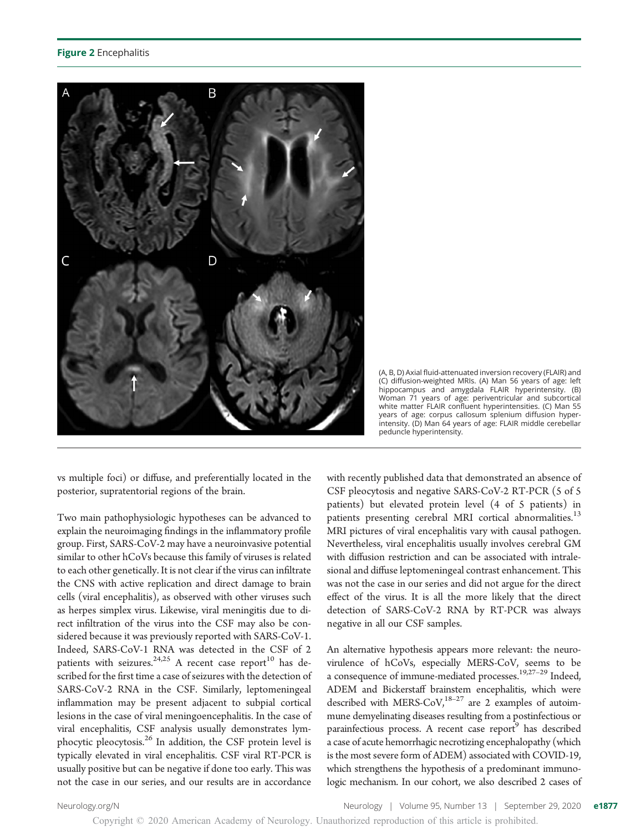#### Figure 2 Encephalitis



(A, B, D) Axial fluid-attenuated inversion recovery (FLAIR) and (C) diffusion-weighted MRIs. (A) Man 56 years of age: left hippocampus and amygdala FLAIR hyperintensity. (B) Woman 71 years of age: periventricular and subcortical white matter FLAIR confluent hyperintensities. (C) Man 55 years of age: corpus callosum splenium diffusion hyperintensity. (D) Man 64 years of age: FLAIR middle cerebellar peduncle hyperintensity.

vs multiple foci) or diffuse, and preferentially located in the posterior, supratentorial regions of the brain.

Two main pathophysiologic hypotheses can be advanced to explain the neuroimaging findings in the inflammatory profile group. First, SARS-CoV-2 may have a neuroinvasive potential similar to other hCoVs because this family of viruses is related to each other genetically. It is not clear if the virus can infiltrate the CNS with active replication and direct damage to brain cells (viral encephalitis), as observed with other viruses such as herpes simplex virus. Likewise, viral meningitis due to direct infiltration of the virus into the CSF may also be considered because it was previously reported with SARS-CoV-1. Indeed, SARS-CoV-1 RNA was detected in the CSF of 2 patients with seizures.<sup>24,25</sup> A recent case report<sup>10</sup> has described for the first time a case of seizures with the detection of SARS-CoV-2 RNA in the CSF. Similarly, leptomeningeal inflammation may be present adjacent to subpial cortical lesions in the case of viral meningoencephalitis. In the case of viral encephalitis, CSF analysis usually demonstrates lymphocytic pleocytosis.<sup>26</sup> In addition, the CSF protein level is typically elevated in viral encephalitis. CSF viral RT-PCR is usually positive but can be negative if done too early. This was not the case in our series, and our results are in accordance

with recently published data that demonstrated an absence of CSF pleocytosis and negative SARS-CoV-2 RT-PCR (5 of 5 patients) but elevated protein level (4 of 5 patients) in patients presenting cerebral MRI cortical abnormalities.<sup>13</sup> MRI pictures of viral encephalitis vary with causal pathogen. Nevertheless, viral encephalitis usually involves cerebral GM with diffusion restriction and can be associated with intralesional and diffuse leptomeningeal contrast enhancement. This was not the case in our series and did not argue for the direct effect of the virus. It is all the more likely that the direct detection of SARS-CoV-2 RNA by RT-PCR was always negative in all our CSF samples.

An alternative hypothesis appears more relevant: the neurovirulence of hCoVs, especially MERS-CoV, seems to be a consequence of immune-mediated processes.19,27–<sup>29</sup> Indeed, ADEM and Bickerstaff brainstem encephalitis, which were described with MERS-CoV, $18-27$  are 2 examples of autoimmune demyelinating diseases resulting from a postinfectious or parainfectious process. A recent case report<sup>9</sup> has described a case of acute hemorrhagic necrotizing encephalopathy (which is the most severe form of ADEM) associated with COVID-19, which strengthens the hypothesis of a predominant immunologic mechanism. In our cohort, we also described 2 cases of

Neurology.org/N Neurology | Volume 95, Number 13 | September 29, 2020 **e1877**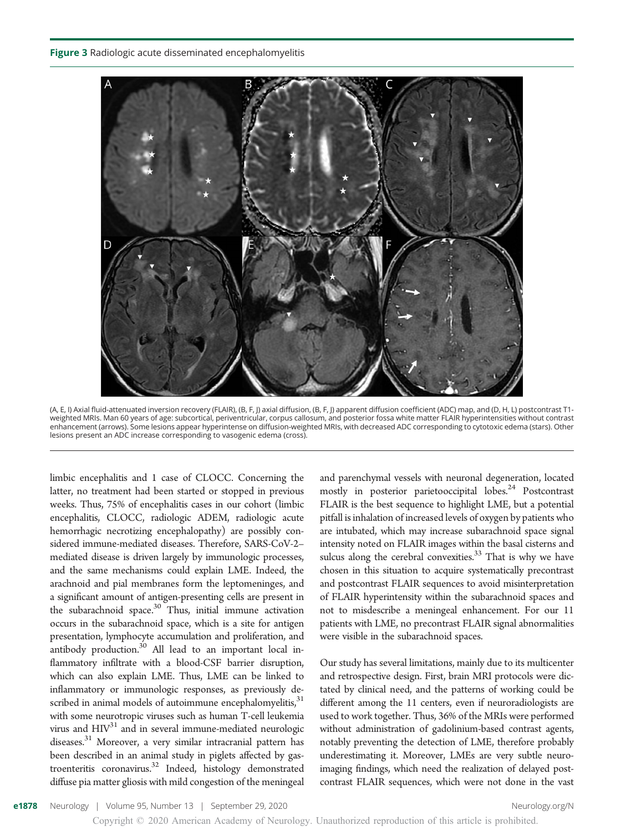

(A, E, I) Axial fluid-attenuated inversion recovery (FLAIR), (B, F, J) axial diffusion, (B, F, J) apparent diffusion coefficient (ADC) map, and (D, H, L) postcontrast T1 weighted MRIs. Man 60 years of age: subcortical, periventricular, corpus callosum, and posterior fossa white matter FLAIR hyperintensities without contrast<br>enhancement (arrows). Some lesions appear hyperintense on diffusio lesions present an ADC increase corresponding to vasogenic edema (cross).

limbic encephalitis and 1 case of CLOCC. Concerning the latter, no treatment had been started or stopped in previous weeks. Thus, 75% of encephalitis cases in our cohort (limbic encephalitis, CLOCC, radiologic ADEM, radiologic acute hemorrhagic necrotizing encephalopathy) are possibly considered immune-mediated diseases. Therefore, SARS-CoV-2– mediated disease is driven largely by immunologic processes, and the same mechanisms could explain LME. Indeed, the arachnoid and pial membranes form the leptomeninges, and a significant amount of antigen-presenting cells are present in the subarachnoid space.<sup>30</sup> Thus, initial immune activation occurs in the subarachnoid space, which is a site for antigen presentation, lymphocyte accumulation and proliferation, and antibody production. $3^{0}$  All lead to an important local inflammatory infiltrate with a blood-CSF barrier disruption, which can also explain LME. Thus, LME can be linked to inflammatory or immunologic responses, as previously described in animal models of autoimmune encephalomyelitis,<sup>31</sup> with some neurotropic viruses such as human T-cell leukemia virus and HIV<sup>31</sup> and in several immune-mediated neurologic diseases.31 Moreover, a very similar intracranial pattern has been described in an animal study in piglets affected by gastroenteritis coronavirus.32 Indeed, histology demonstrated diffuse pia matter gliosis with mild congestion of the meningeal and parenchymal vessels with neuronal degeneration, located mostly in posterior parietooccipital lobes.<sup>24</sup> Postcontrast FLAIR is the best sequence to highlight LME, but a potential pitfall is inhalation of increased levels of oxygen by patients who are intubated, which may increase subarachnoid space signal intensity noted on FLAIR images within the basal cisterns and sulcus along the cerebral convexities.<sup>33</sup> That is why we have chosen in this situation to acquire systematically precontrast and postcontrast FLAIR sequences to avoid misinterpretation of FLAIR hyperintensity within the subarachnoid spaces and not to misdescribe a meningeal enhancement. For our 11 patients with LME, no precontrast FLAIR signal abnormalities were visible in the subarachnoid spaces.

Our study has several limitations, mainly due to its multicenter and retrospective design. First, brain MRI protocols were dictated by clinical need, and the patterns of working could be different among the 11 centers, even if neuroradiologists are used to work together. Thus, 36% of the MRIs were performed without administration of gadolinium-based contrast agents, notably preventing the detection of LME, therefore probably underestimating it. Moreover, LMEs are very subtle neuroimaging findings, which need the realization of delayed postcontrast FLAIR sequences, which were not done in the vast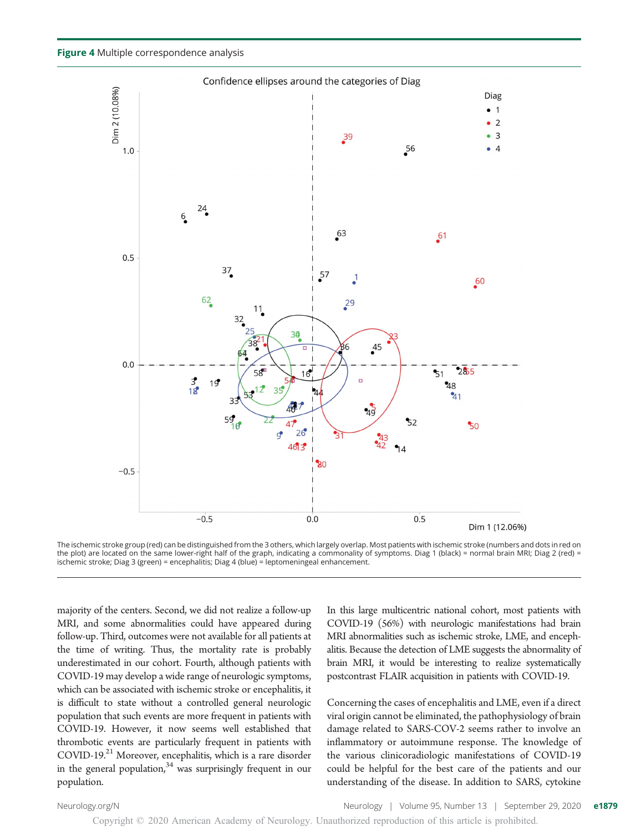



The ischemic stroke group (red) can be distinguished from the 3 others, which largely overlap. Most patients with ischemic stroke (numbers and dots in red on the plot) are located on the same lower-right half of the graph, indicating a commonality of symptoms. Diag 1 (black) = normal brain MRI; Diag 2 (red) = ischemic stroke; Diag 3 (green) = encephalitis; Diag 4 (blue) = leptomeningeal enhancement.

Copyright © 2020 American Academy of Neurology. Unauthorized reproduction of this article is prohibited.

majority of the centers. Second, we did not realize a follow-up MRI, and some abnormalities could have appeared during follow-up. Third, outcomes were not available for all patients at the time of writing. Thus, the mortality rate is probably underestimated in our cohort. Fourth, although patients with COVID-19 may develop a wide range of neurologic symptoms, which can be associated with ischemic stroke or encephalitis, it is difficult to state without a controlled general neurologic population that such events are more frequent in patients with COVID-19. However, it now seems well established that thrombotic events are particularly frequent in patients with COVID-19.<sup>21</sup> Moreover, encephalitis, which is a rare disorder in the general population,  $34$  was surprisingly frequent in our population.

In this large multicentric national cohort, most patients with COVID-19 (56%) with neurologic manifestations had brain MRI abnormalities such as ischemic stroke, LME, and encephalitis. Because the detection of LME suggests the abnormality of brain MRI, it would be interesting to realize systematically postcontrast FLAIR acquisition in patients with COVID-19.

Concerning the cases of encephalitis and LME, even if a direct viral origin cannot be eliminated, the pathophysiology of brain damage related to SARS-COV-2 seems rather to involve an inflammatory or autoimmune response. The knowledge of the various clinicoradiologic manifestations of COVID-19 could be helpful for the best care of the patients and our understanding of the disease. In addition to SARS, cytokine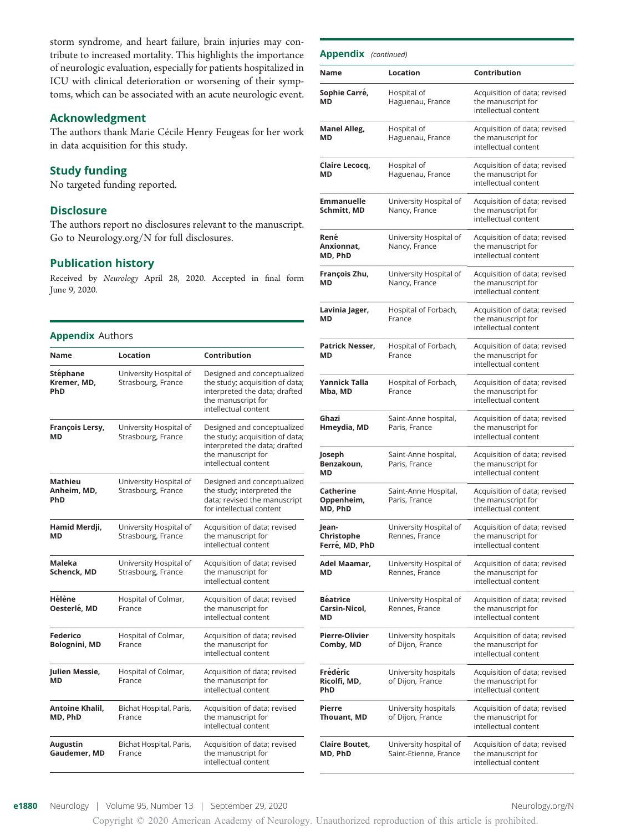storm syndrome, and heart failure, brain injuries may contribute to increased mortality. This highlights the importance of neurologic evaluation, especially for patients hospitalized in ICU with clinical deterioration or worsening of their symptoms, which can be associated with an acute neurologic event.

#### Acknowledgment

The authors thank Marie Cécile Henry Feugeas for her work in data acquisition for this study.

#### Study funding

No targeted funding reported.

#### **Disclosure**

The authors report no disclosures relevant to the manuscript. Go to Neurology.org/N for full disclosures.

#### Publication history

Received by Neurology April 28, 2020. Accepted in final form June 9, 2020.

#### Appendix Authors

| Name                                                    | Location                                     | Contribution                                                                                                                                  |
|---------------------------------------------------------|----------------------------------------------|-----------------------------------------------------------------------------------------------------------------------------------------------|
| Stéphane<br>Kremer, MD,<br>PhD                          | University Hospital of<br>Strasbourg, France | Designed and conceptualized<br>the study; acquisition of data;<br>interpreted the data; drafted<br>the manuscript for<br>intellectual content |
| François Lersy,<br>МD                                   | University Hospital of<br>Strasbourg, France | Designed and conceptualized<br>the study; acquisition of data;<br>interpreted the data; drafted<br>the manuscript for<br>intellectual content |
| <b>Mathieu</b><br>Anheim, MD,<br><b>PhD</b>             | University Hospital of<br>Strasbourg, France | Designed and conceptualized<br>the study; interpreted the<br>data; revised the manuscript<br>for intellectual content                         |
| Hamid Merdji,<br>МD                                     | University Hospital of<br>Strasbourg, France | Acquisition of data; revised<br>the manuscript for<br>intellectual content                                                                    |
| <b>Maleka</b><br>Schenck, MD                            | University Hospital of<br>Strasbourg, France | Acquisition of data; revised<br>the manuscript for<br>intellectual content                                                                    |
| Hélène<br>Hospital of Colmar,<br>Oesterlé, MD<br>France |                                              | Acquisition of data; revised<br>the manuscript for<br>intellectual content                                                                    |
| Federico<br><b>Bolognini, MD</b>                        | Hospital of Colmar,<br>France                | Acquisition of data; revised<br>the manuscript for<br>intellectual content                                                                    |
| Julien Messie,<br><b>MD</b>                             | Hospital of Colmar,<br>France                | Acquisition of data; revised<br>the manuscript for<br>intellectual content                                                                    |
| Antoine Khalil,<br>MD, PhD                              | Bichat Hospital, Paris,<br>France            | Acquisition of data; revised<br>the manuscript for<br>intellectual content                                                                    |
| <b>Augustin</b><br>Gaudemer, MD                         | Bichat Hospital, Paris,<br>France            | Acquisition of data; revised<br>the manuscript for<br>intellectual content                                                                    |

| <b>Appendix</b> (continued)            |                                                 |                                                                            |
|----------------------------------------|-------------------------------------------------|----------------------------------------------------------------------------|
| Name                                   | Location                                        | Contribution                                                               |
| Sophie Carré,<br>МD                    | Hospital of<br>Haguenau, France                 | Acquisition of data; revised<br>the manuscript for<br>intellectual content |
| Manel Alleg,<br>МD                     | Hospital of<br>Haguenau, France                 | Acquisition of data; revised<br>the manuscript for<br>intellectual content |
| Claire Lecocq,<br>МD                   | Hospital of<br>Haguenau, France                 | Acquisition of data; revised<br>the manuscript for<br>intellectual content |
| <b>Emmanuelle</b><br>Schmitt, MD       | University Hospital of<br>Nancy, France         | Acquisition of data; revised<br>the manuscript for<br>intellectual content |
| René<br>Anxionnat,<br>MD, PhD          | University Hospital of<br>Nancy, France         | Acquisition of data; revised<br>the manuscript for<br>intellectual content |
| François Zhu,<br>МD                    | University Hospital of<br>Nancy, France         | Acquisition of data; revised<br>the manuscript for<br>intellectual content |
| Lavinia Jager,<br>МD                   | Hospital of Forbach,<br>France                  | Acquisition of data; revised<br>the manuscript for<br>intellectual content |
| Patrick Nesser,<br>МD                  | Hospital of Forbach,<br>France                  | Acquisition of data; revised<br>the manuscript for<br>intellectual content |
| Yannick Talla<br>Mba, MD               | Hospital of Forbach,<br>France                  | Acquisition of data; revised<br>the manuscript for<br>intellectual content |
| Ghazi<br>Hmeydia, MD                   | Saint-Anne hospital,<br>Paris, France           | Acquisition of data; revised<br>the manuscript for<br>intellectual content |
| Joseph<br>Benzakoun,<br>МD             | Saint-Anne hospital,<br>Paris, France           | Acquisition of data; revised<br>the manuscript for<br>intellectual content |
| Catherine<br>Oppenheim,<br>MD, PhD     | Saint-Anne Hospital,<br>Paris, France           | Acquisition of data; revised<br>the manuscript for<br>intellectual content |
| Jean-<br>Christophe<br>Ferré, MD, PhD  | University Hospital of<br>Rennes, France        | Acquisition of data; revised<br>the manuscript for<br>intellectual content |
| Adel Maamar,<br>МD                     | University Hospital of<br>Rennes, France        | Acquisition of data; revised<br>the manuscript for<br>intellectual content |
| <b>Beatrice</b><br>Carsin-Nicol,<br>МD | University Hospital of<br>Rennes, France        | Acquisition of data; revised<br>the manuscript for<br>intellectual content |
| Pierre-Olivier<br>Comby, MD            | University hospitals<br>of Dijon, France        | Acquisition of data; revised<br>the manuscript for<br>intellectual content |
| Frederic<br>Ricolfi, MD,<br>PhD        | University hospitals<br>of Dijon, France        | Acquisition of data; revised<br>the manuscript for<br>intellectual content |
| Pierre<br>Thouant, MD                  | University hospitals<br>of Dijon, France        | Acquisition of data; revised<br>the manuscript for<br>intellectual content |
| Claire Boutet,<br>MD, PhD              | University hospital of<br>Saint-Etienne, France | Acquisition of data; revised<br>the manuscript for<br>intellectual content |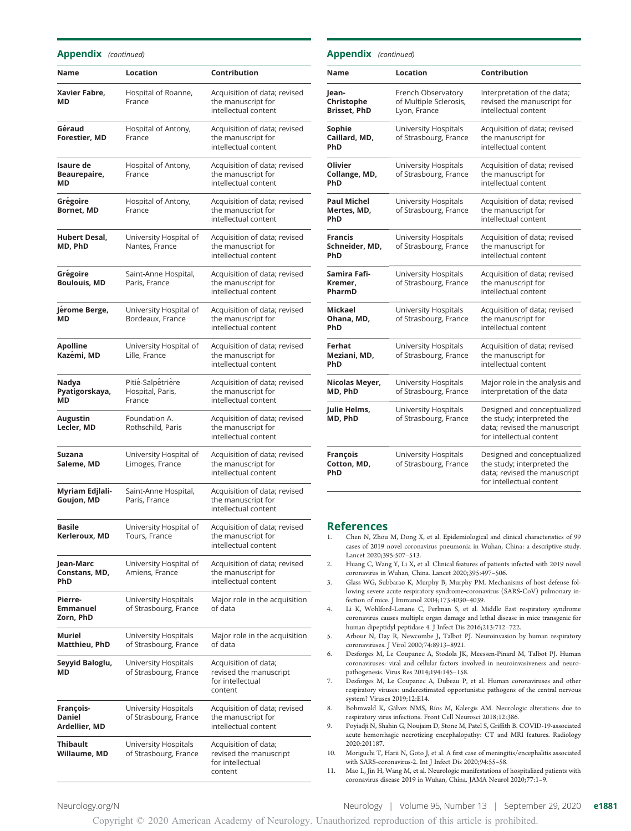#### Appendix (continued)

| Name                                 | Location                                        | Contribution                                                                  |
|--------------------------------------|-------------------------------------------------|-------------------------------------------------------------------------------|
| Xavier Fabre,<br>МD                  | Hospital of Roanne,<br>France                   | Acquisition of data; revised<br>the manuscript for<br>intellectual content    |
| Géraud<br>Forestier, MD              | Hospital of Antony,<br>France                   | Acquisition of data; revised<br>the manuscript for<br>intellectual content    |
| Isaure de<br>Beaurepaire,<br>MD      | Hospital of Antony,<br>France                   | Acquisition of data; revised<br>the manuscript for<br>intellectual content    |
| Grégoire<br><b>Bornet, MD</b>        | Hospital of Antony,<br>France                   | Acquisition of data; revised<br>the manuscript for<br>intellectual content    |
| Hubert Desal,<br>MD, PhD             | University Hospital of<br>Nantes, France        | Acquisition of data; revised<br>the manuscript for<br>intellectual content    |
| Grégoire<br><b>Boulouis, MD</b>      | Saint-Anne Hospital,<br>Paris, France           | Acquisition of data; revised<br>the manuscript for<br>intellectual content    |
| Jerome Berge,<br>МD                  | University Hospital of<br>Bordeaux, France      | Acquisition of data; revised<br>the manuscript for<br>intellectual content    |
| <b>Apolline</b><br>Kazémi, MD        | University Hospital of<br>Lille, France         | Acquisition of data; revised<br>the manuscript for<br>intellectual content    |
| Nadya<br>Pyatigorskaya,<br>MD        | Pitié-Salpêtrière<br>Hospital, Paris,<br>France | Acquisition of data; revised<br>the manuscript for<br>intellectual content    |
| Augustin<br>Lecler, MD               | Foundation A.<br>Rothschild, Paris              | Acquisition of data; revised<br>the manuscript for<br>intellectual content    |
| Suzana<br>Saleme, MD                 | University Hospital of<br>Limoges, France       | Acquisition of data; revised<br>the manuscript for<br>intellectual content    |
| Myriam Edjlali-<br>Goujon, MD        | Saint-Anne Hospital,<br>Paris, France           | Acquisition of data; revised<br>the manuscript for<br>intellectual content    |
| Basile<br>Kerleroux, MD              | University Hospital of<br>Tours, France         | Acquisition of data; revised<br>the manuscript for<br>intellectual content    |
| Jean-Marc<br>Constans, MD,<br>PhD    | University Hospital of<br>Amiens, France        | Acquisition of data; revised<br>the manuscript for<br>intellectual content    |
| Pierre-<br>Emmanuel<br>Zorn, PhD     | University Hospitals<br>of Strasbourg, France   | Major role in the acquisition<br>of data                                      |
| Muriel<br>Matthieu, PhD              | University Hospitals<br>of Strasbourg, France   | Major role in the acquisition<br>of data                                      |
| Seyyid Baloglu,<br>МD                | University Hospitals<br>of Strasbourg, France   | Acquisition of data;<br>revised the manuscript<br>for intellectual<br>content |
| François-<br>Daniel<br>Ardellier, MD | University Hospitals<br>of Strasbourg, France   | Acquisition of data; revised<br>the manuscript for<br>intellectual content    |
| Thibault<br>Willaume, MD             | University Hospitals<br>of Strasbourg, France   | Acquisition of data;<br>revised the manuscript<br>for intellectual            |

#### Appendix (continued) Name Location Contribution Jean-Christophe Brisset, PhD French Observatory of Multiple Sclerosis, Lyon, France Interpretation of the data; revised the manuscript for intellectual content

| Sophie<br>Caillard, MD,<br>PhD           | University Hospitals<br>of Strasbourg, France | Acquisition of data; revised<br>the manuscript for<br>intellectual content                                            |
|------------------------------------------|-----------------------------------------------|-----------------------------------------------------------------------------------------------------------------------|
| <b>Olivier</b><br>Collange, MD,<br>PhD   | University Hospitals<br>of Strasbourg, France | Acquisition of data; revised<br>the manuscript for<br>intellectual content                                            |
| <b>Paul Michel</b><br>Mertes, MD,<br>PhD | University Hospitals<br>of Strasbourg, France | Acquisition of data; revised<br>the manuscript for<br>intellectual content                                            |
| Francis<br>Schneider, MD,<br>PhD         | University Hospitals<br>of Strasbourg, France | Acquisition of data; revised<br>the manuscript for<br>intellectual content                                            |
| Samira Fafi-<br>Kremer,<br>PharmD        | University Hospitals<br>of Strasbourg, France | Acquisition of data; revised<br>the manuscript for<br>intellectual content                                            |
| <b>Mickael</b><br>Ohana, MD,<br>PhD      | University Hospitals<br>of Strasbourg, France | Acquisition of data; revised<br>the manuscript for<br>intellectual content                                            |
| Ferhat<br>Meziani, MD,<br>PhD            | University Hospitals<br>of Strasbourg, France | Acquisition of data; revised<br>the manuscript for<br>intellectual content                                            |
| Nicolas Meyer,<br>MD, PhD                | University Hospitals<br>of Strasbourg, France | Major role in the analysis and<br>interpretation of the data                                                          |
| Julie Helms,<br>MD, PhD                  | University Hospitals<br>of Strasbourg, France | Designed and conceptualized<br>the study; interpreted the<br>data; revised the manuscript<br>for intellectual content |
| <b>François</b><br>Cotton, MD,<br>PhD    | University Hospitals<br>of Strasbourg, France | Designed and conceptualized<br>the study; interpreted the<br>data; revised the manuscript<br>for intellectual content |

#### References

- 1. Chen N, Zhou M, Dong X, et al. Epidemiological and clinical characteristics of 99 cases of 2019 novel coronavirus pneumonia in Wuhan, China: a descriptive study. Lancet 2020;395:507–513.
- 2. Huang C, Wang Y, Li X, et al. Clinical features of patients infected with 2019 novel coronavirus in Wuhan, China. Lancet 2020;395:497–506.
- 3. Glass WG, Subbarao K, Murphy B, Murphy PM. Mechanisms of host defense following severe acute respiratory syndrome‐coronavirus (SARS‐CoV) pulmonary infection of mice. J Immunol 2004;173:4030–4039.
- 4. Li K, Wohlford‐Lenane C, Perlman S, et al. Middle East respiratory syndrome coronavirus causes multiple organ damage and lethal disease in mice transgenic for human dipeptidyl peptidase 4. J Infect Dis 2016;213:712–722.
- 5. Arbour N, Day R, Newcombe J, Talbot PJ. Neuroinvasion by human respiratory coronaviruses. J Virol 2000;74:8913–8921.
- 6. Desforges M, Le Coupanec A, Stodola JK, Meessen-Pinard M, Talbot PJ. Human coronaviruses: viral and cellular factors involved in neuroinvasiveness and neuropathogenesis. Virus Res 2014;194:145–158.
- 7. Desforges M, Le Coupanec A, Dubeau P, et al. Human coronaviruses and other respiratory viruses: underestimated opportunistic pathogens of the central nervous system? Viruses 2019;12:E14.
- 8. Bohmwald K, Gálvez NMS, Ríos M, Kalergis AM. Neurologic alterations due to respiratory virus infections. Front Cell Neurosci 2018;12:386.
- 9. Poyiadji N, Shahin G, Noujaim D, Stone M, Patel S, Griffith B. COVID-19-associated acute hemorrhagic necrotizing encephalopathy: CT and MRI features. Radiology 2020:201187.
- 10. Moriguchi T, Harii N, Goto J, et al. A first case of meningitis/encephalitis associated with SARS-coronavirus-2. Int J Infect Dis 2020;94:55–58.
- 11. Mao L, Jin H, Wang M, et al. Neurologic manifestations of hospitalized patients with coronavirus disease 2019 in Wuhan, China. JAMA Neurol 2020;77:1–9.

content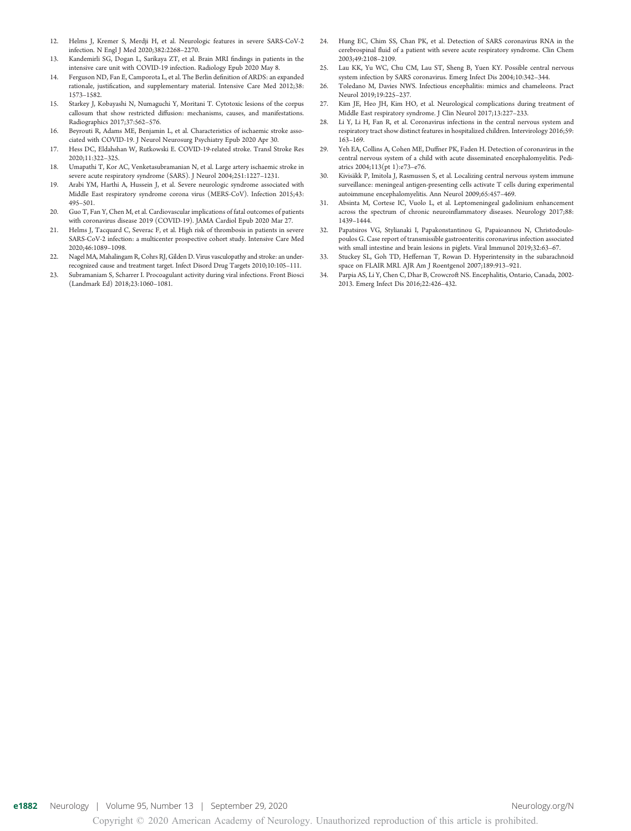- 12. Helms J, Kremer S, Merdji H, et al. Neurologic features in severe SARS-CoV-2 infection. N Engl J Med 2020;382:2268–2270.
- 13. Kandemirli SG, Dogan L, Sarikaya ZT, et al. Brain MRI findings in patients in the intensive care unit with COVID-19 infection. Radiology Epub 2020 May 8.
- 14. Ferguson ND, Fan E, Camporota L, et al. The Berlin definition of ARDS: an expanded rationale, justification, and supplementary material. Intensive Care Med 2012;38: 1573–1582.
- 15. Starkey J, Kobayashi N, Numaguchi Y, Moritani T. Cytotoxic lesions of the corpus callosum that show restricted diffusion: mechanisms, causes, and manifestations. Radiographics 2017;37:562–576.
- 16. Beyrouti R, Adams ME, Benjamin L, et al. Characteristics of ischaemic stroke associated with COVID-19. J Neurol Neurosurg Psychiatry Epub 2020 Apr 30.
- 17. Hess DC, Eldahshan W, Rutkowski E. COVID-19-related stroke. Transl Stroke Res 2020;11:322–325.
- 18. Umapathi T, Kor AC, Venketasubramanian N, et al. Large artery ischaemic stroke in severe acute respiratory syndrome (SARS). J Neurol 2004;251:1227–1231.
- 19. Arabi YM, Harthi A, Hussein J, et al. Severe neurologic syndrome associated with Middle East respiratory syndrome corona virus (MERS-CoV). Infection 2015;43: 495–501.
- 20. Guo T, Fan Y, Chen M, et al. Cardiovascular implications of fatal outcomes of patients with coronavirus disease 2019 (COVID-19). JAMA Cardiol Epub 2020 Mar 27.
- 21. Helms J, Tacquard C, Severac F, et al. High risk of thrombosis in patients in severe SARS-CoV-2 infection: a multicenter prospective cohort study. Intensive Care Med 2020;46:1089–1098.
- 22. Nagel MA, Mahalingam R, Cohrs RJ, Gilden D. Virus vasculopathy and stroke: an underrecognized cause and treatment target. Infect Disord Drug Targets 2010;10:105–111.
- 23. Subramaniam S, Scharrer I. Procoagulant activity during viral infections. Front Biosci (Landmark Ed) 2018;23:1060–1081.
- 24. Hung EC, Chim SS, Chan PK, et al. Detection of SARS coronavirus RNA in the cerebrospinal fluid of a patient with severe acute respiratory syndrome. Clin Chem 2003;49:2108–2109.
- 25. Lau KK, Yu WC, Chu CM, Lau ST, Sheng B, Yuen KY. Possible central nervous system infection by SARS coronavirus. Emerg Infect Dis 2004;10:342–344.
- 26. Toledano M, Davies NWS. Infectious encephalitis: mimics and chameleons. Pract Neurol 2019;19:225–237.
- 27. Kim JE, Heo JH, Kim HO, et al. Neurological complications during treatment of Middle East respiratory syndrome. J Clin Neurol 2017;13:227–233.
- 28. Li Y, Li H, Fan R, et al. Coronavirus infections in the central nervous system and respiratory tract show distinct features in hospitalized children. Intervirology 2016;59: 163–169.
- 29. Yeh EA, Collins A, Cohen ME, Duffner PK, Faden H. Detection of coronavirus in the central nervous system of a child with acute disseminated encephalomyelitis. Pediatrics 2004;113(pt 1):e73–e76.
- 30. Kivisäkk P, Imitola J, Rasmussen S, et al. Localizing central nervous system immune surveillance: meningeal antigen-presenting cells activate T cells during experimental autoimmune encephalomyelitis. Ann Neurol 2009;65:457–469.
- 31. Absinta M, Cortese IC, Vuolo L, et al. Leptomeningeal gadolinium enhancement across the spectrum of chronic neuroinflammatory diseases. Neurology 2017;88: 1439–1444.
- 32. Papatsiros VG, Stylianaki I, Papakonstantinou G, Papaioannou N, Christodoulopoulos G. Case report of transmissible gastroenteritis coronavirus infection associated with small intestine and brain lesions in piglets. Viral Immunol 2019;32:63–67.
- 33. Stuckey SL, Goh TD, Heffernan T, Rowan D. Hyperintensity in the subarachnoid space on FLAIR MRI. AJR Am J Roentgenol 2007;189:913–921.
- 34. Parpia AS, Li Y, Chen C, Dhar B, Crowcroft NS. Encephalitis, Ontario, Canada, 2002- 2013. Emerg Infect Dis 2016;22:426–432.